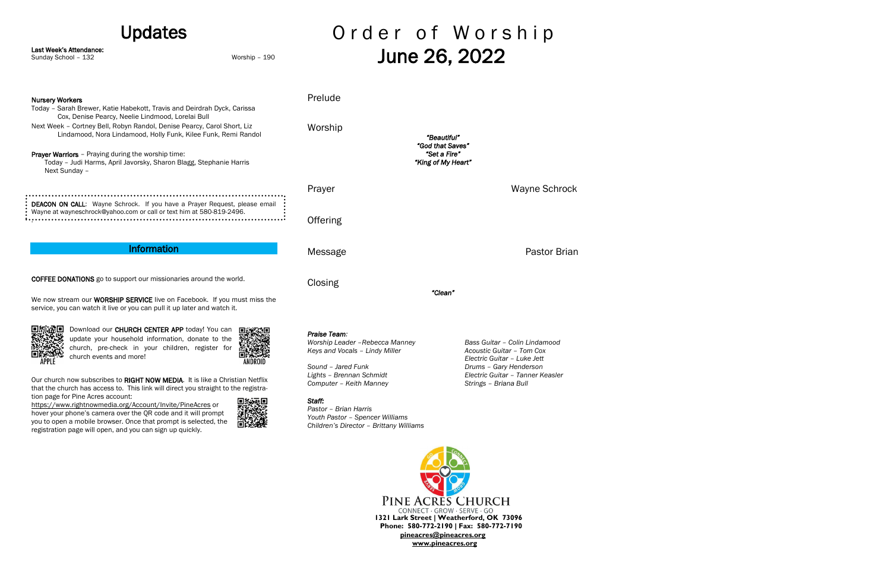## Updates

Last Week's Attendance:

Sunday School – 132 Worship – 190

# Order of Worship June 26, 2022

| <b>Nursery Workers</b><br>Today - Sarah Brewer, Katie Habekott, Travis and Deirdrah Dyck, Carissa<br>Cox, Denise Pearcy, Neelie Lindmood, Lorelai Bull<br>Next Week - Cortney Bell, Robyn Randol, Denise Pearcy, Carol Short, Liz<br>Lindamood, Nora Lindamood, Holly Funk, Kilee Funk, Remi Randol<br><b>Prayer Warriors</b> - Praying during the worship time:<br>Today - Judi Harms, April Javorsky, Sharon Blagg, Stephanie Harris<br>Next Sunday -                                                                                                                                                                                                              | Prelude<br>Worship                                                                                                                                                                                                                                                              | "Beautiful"<br>"God that Saves"<br>"Set a Fire"<br>"King of My Heart"                                                                                                            |
|----------------------------------------------------------------------------------------------------------------------------------------------------------------------------------------------------------------------------------------------------------------------------------------------------------------------------------------------------------------------------------------------------------------------------------------------------------------------------------------------------------------------------------------------------------------------------------------------------------------------------------------------------------------------|---------------------------------------------------------------------------------------------------------------------------------------------------------------------------------------------------------------------------------------------------------------------------------|----------------------------------------------------------------------------------------------------------------------------------------------------------------------------------|
|                                                                                                                                                                                                                                                                                                                                                                                                                                                                                                                                                                                                                                                                      | Prayer                                                                                                                                                                                                                                                                          | Wayne Schrock                                                                                                                                                                    |
| DEACON ON CALL: Wayne Schrock. If you have a Prayer Request, please email<br>Wayne at wayneschrock@yahoo.com or call or text him at 580-819-2496.                                                                                                                                                                                                                                                                                                                                                                                                                                                                                                                    | Offering                                                                                                                                                                                                                                                                        |                                                                                                                                                                                  |
| <b>Information</b>                                                                                                                                                                                                                                                                                                                                                                                                                                                                                                                                                                                                                                                   | Message                                                                                                                                                                                                                                                                         | Pastor Brian                                                                                                                                                                     |
| <b>COFFEE DONATIONS</b> go to support our missionaries around the world.<br>We now stream our WORSHIP SERVICE live on Facebook. If you must miss the<br>service, you can watch it live or you can pull it up later and watch it.                                                                                                                                                                                                                                                                                                                                                                                                                                     | Closing                                                                                                                                                                                                                                                                         | "Clean"                                                                                                                                                                          |
| Download our CHURCH CENTER APP today! You can<br>update your household information, donate to the<br>church, pre-check in your children, register for<br>church events and more!<br>ANDROID<br>Our church now subscribes to RIGHT NOW MEDIA. It is like a Christian Netflix<br>that the church has access to. This link will direct you straight to the registra-<br>tion page for Pine Acres account:<br>https://www.rightnowmedia.org/Account/Invite/PineAcres or<br>hover your phone's camera over the QR code and it will prompt<br>you to open a mobile browser. Once that prompt is selected, the<br>registration page will open, and you can sign up quickly. | Praise Team:<br>Worship Leader - Rebecca Manney<br>Keys and Vocals - Lindy Miller<br>Sound - Jared Funk<br>Lights - Brennan Schmidt<br>Computer - Keith Manney<br>Staff:<br>Pastor - Brian Harris<br>Youth Pastor - Spencer Williams<br>Children's Director - Brittany Williams | Bass Guitar - Colin Lindamood<br>Acoustic Guitar - Tom Cox<br>Electric Guitar - Luke Jett<br>Drums - Gary Henderson<br>Electric Guitar - Tanner Keasler<br>Strings - Briana Bull |
|                                                                                                                                                                                                                                                                                                                                                                                                                                                                                                                                                                                                                                                                      |                                                                                                                                                                                                                                                                                 |                                                                                                                                                                                  |

**1321 Lark Street | Weatherford, OK 73096 Phone: 580-772-2190 | Fax: 580-772-7190 [pineacres@pineacres.org](mailto:pineacres@pineacres.org) [www.pineacres.org](http://www.pineacres.org/)**

PINE ACRES CHURCH CONNECT · GROW · SERVE · GO